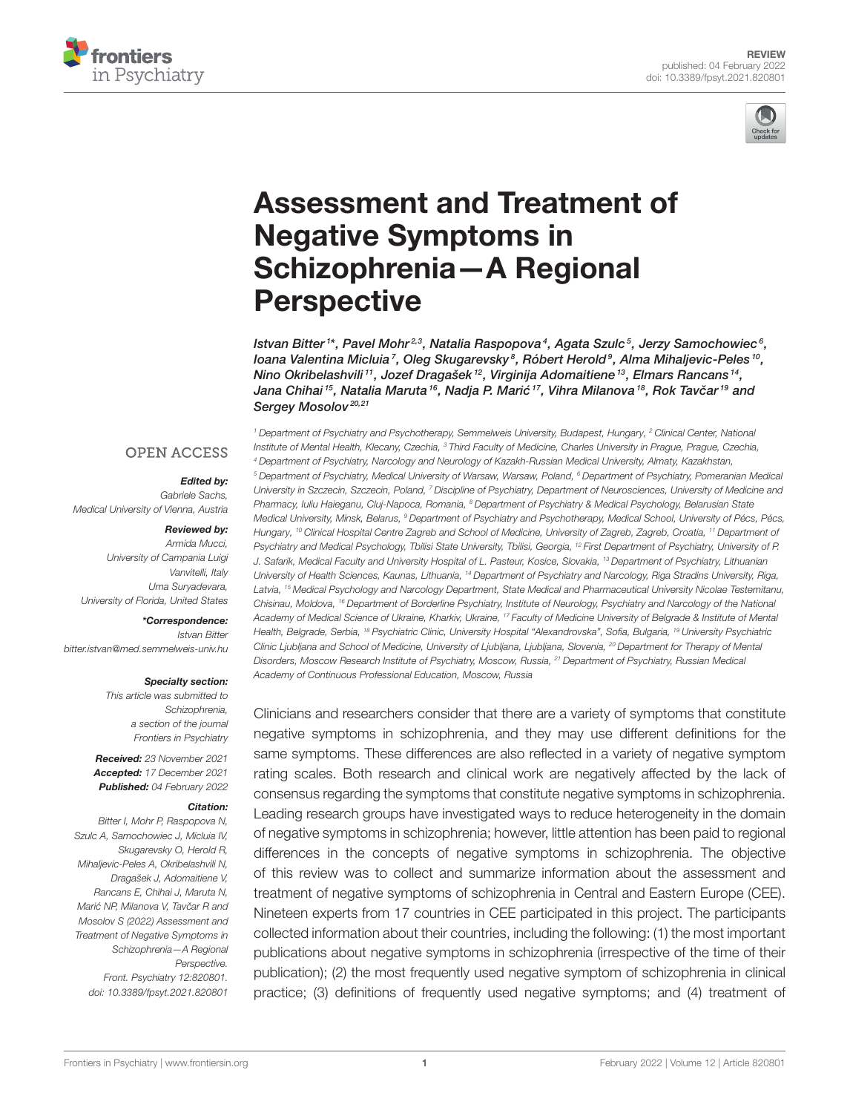



# [Assessment and Treatment of](https://www.frontiersin.org/articles/10.3389/fpsyt.2021.820801/full) Negative Symptoms in Schizophrenia—A Regional **Perspective**

lstvan Bitter <sup>1\*</sup>, Pavel Mohr<sup>2,3</sup>, Natalia Raspopova<sup>4</sup>, Agata Szulc <sup>5</sup>, Jerzy Samochowiec <sup>6</sup>, loana Valentina Micluia<sup>7</sup>, Oleg Skugarevsky<sup>8</sup>, Róbert Herold<sup>9</sup>, Alma Mihaljevic-Peles10, Nino Okribelashvili 11, Jozef Dragašek <sup>12</sup>, Virginija Adomaitiene <sup>13</sup>, Elmars Rancans <sup>14</sup>, Jana Chihai <sup>15</sup>, Natalia Maruta <sup>16</sup>, Nadja P. Marić <sup>17</sup>, Vihra Milanova <sup>18</sup>, Rok Tavčar <sup>19</sup> and Sergey Mosolov<sup>20,21</sup>

#### **OPEN ACCESS**

#### Edited by:

Gabriele Sachs, Medical University of Vienna, Austria

#### Reviewed by:

Armida Mucci, University of Campania Luigi Vanvitelli, Italy Uma Suryadevara, University of Florida, United States

#### \*Correspondence:

Istvan Bitter [bitter.istvan@med.semmelweis-univ.hu](mailto:bitter.istvan@med.semmelweis-univ.hu)

#### Specialty section:

This article was submitted to Schizophrenia, a section of the journal Frontiers in Psychiatry

Received: 23 November 2021 Accepted: 17 December 2021 Published: 04 February 2022

#### Citation:

Bitter I, Mohr P, Raspopova N, Szulc A, Samochowiec J, Micluia IV, Skugarevsky O, Herold R, Mihaljevic-Peles A, Okribelashvili N, Dragašek J, Adomaitiene V, Rancans E, Chihai J, Maruta N, Marić NP, Milanova V, Tavčar R and Mosolov S (2022) Assessment and Treatment of Negative Symptoms in Schizophrenia—A Regional Perspective. Front. Psychiatry 12:820801. doi: [10.3389/fpsyt.2021.820801](https://doi.org/10.3389/fpsyt.2021.820801)

<sup>1</sup> Department of Psychiatry and Psychotherapy, Semmelweis University, Budapest, Hungary, <sup>2</sup> Clinical Center, National Institute of Mental Health, Klecany, Czechia, <sup>3</sup> Third Faculty of Medicine, Charles University in Prague, Prague, Czechia, <sup>4</sup> Department of Psychiatry, Narcology and Neurology of Kazakh-Russian Medical University, Almaty, Kazakhstan, <sup>5</sup> Department of Psychiatry, Medical University of Warsaw, Warsaw, Poland, <sup>6</sup> Department of Psychiatry, Pomeranian Medical University in Szczecin, Szczecin, Poland, <sup>7</sup> Discipline of Psychiatry, Department of Neurosciences, University of Medicine and Pharmacy, Iuliu Haieganu, Cluj-Napoca, Romania, <sup>8</sup> Department of Psychiatry & Medical Psychology, Belarusian State Medical University, Minsk, Belarus, <sup>9</sup> Department of Psychiatry and Psychotherapy, Medical School, University of Pécs, Pécs, Hungary, <sup>10</sup> Clinical Hospital Centre Zagreb and School of Medicine, University of Zagreb, Zagreb, Croatia, <sup>11</sup> Department of Psychiatry and Medical Psychology, Tbilisi State University, Tbilisi, Georgia, <sup>12</sup> First Department of Psychiatry, University of P. J. Safarik, Medical Faculty and University Hospital of L. Pasteur, Kosice, Slovakia, <sup>13</sup> Department of Psychiatry, Lithuanian University of Health Sciences, Kaunas, Lithuania, <sup>14</sup> Department of Psychiatry and Narcology, Riga Stradins University, Riga, Latvia, <sup>15</sup> Medical Psychology and Narcology Department, State Medical and Pharmaceutical University Nicolae Testemitanu, Chisinau, Moldova, <sup>16</sup> Department of Borderline Psychiatry, Institute of Neurology, Psychiatry and Narcology of the National Academy of Medical Science of Ukraine, Kharkiv, Ukraine, <sup>17</sup> Faculty of Medicine University of Belgrade & Institute of Mental Health, Belgrade, Serbia, <sup>18</sup> Psychiatric Clinic, University Hospital "Alexandrovska", Sofia, Bulgaria, <sup>19</sup> University Psychiatric Clinic Ljubljana and School of Medicine, University of Ljubljana, Ljubljana, Slovenia, <sup>20</sup> Department for Therapy of Mental Disorders, Moscow Research Institute of Psychiatry, Moscow, Russia, <sup>21</sup> Department of Psychiatry, Russian Medical Academy of Continuous Professional Education, Moscow, Russia

Clinicians and researchers consider that there are a variety of symptoms that constitute negative symptoms in schizophrenia, and they may use different definitions for the same symptoms. These differences are also reflected in a variety of negative symptom rating scales. Both research and clinical work are negatively affected by the lack of consensus regarding the symptoms that constitute negative symptoms in schizophrenia. Leading research groups have investigated ways to reduce heterogeneity in the domain of negative symptoms in schizophrenia; however, little attention has been paid to regional differences in the concepts of negative symptoms in schizophrenia. The objective of this review was to collect and summarize information about the assessment and treatment of negative symptoms of schizophrenia in Central and Eastern Europe (CEE). Nineteen experts from 17 countries in CEE participated in this project. The participants collected information about their countries, including the following: (1) the most important publications about negative symptoms in schizophrenia (irrespective of the time of their publication); (2) the most frequently used negative symptom of schizophrenia in clinical practice; (3) definitions of frequently used negative symptoms; and (4) treatment of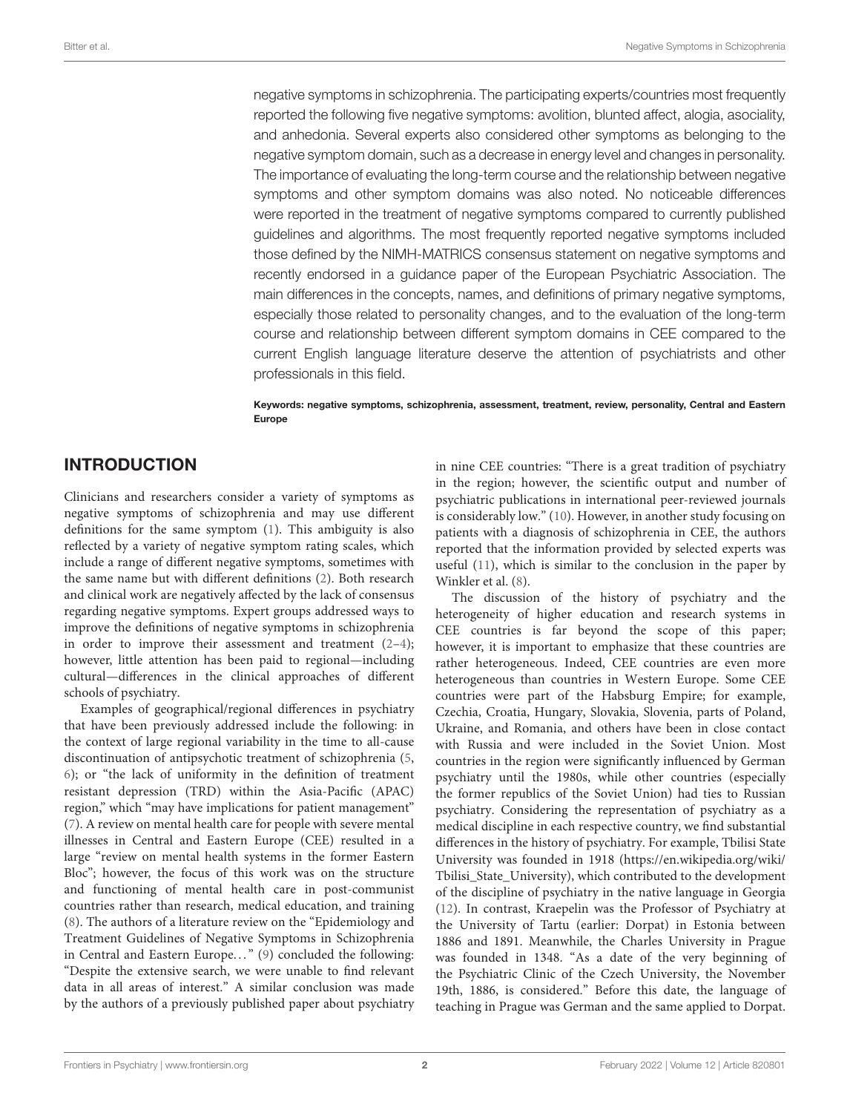negative symptoms in schizophrenia. The participating experts/countries most frequently reported the following five negative symptoms: avolition, blunted affect, alogia, asociality, and anhedonia. Several experts also considered other symptoms as belonging to the negative symptom domain, such as a decrease in energy level and changes in personality. The importance of evaluating the long-term course and the relationship between negative symptoms and other symptom domains was also noted. No noticeable differences were reported in the treatment of negative symptoms compared to currently published guidelines and algorithms. The most frequently reported negative symptoms included those defined by the NIMH-MATRICS consensus statement on negative symptoms and recently endorsed in a guidance paper of the European Psychiatric Association. The main differences in the concepts, names, and definitions of primary negative symptoms, especially those related to personality changes, and to the evaluation of the long-term course and relationship between different symptom domains in CEE compared to the current English language literature deserve the attention of psychiatrists and other professionals in this field.

#### Keywords: negative symptoms, schizophrenia, assessment, treatment, review, personality, Central and Eastern Europe

### INTRODUCTION

Clinicians and researchers consider a variety of symptoms as negative symptoms of schizophrenia and may use different definitions for the same symptom [\(1\)](#page-6-0). This ambiguity is also reflected by a variety of negative symptom rating scales, which include a range of different negative symptoms, sometimes with the same name but with different definitions [\(2\)](#page-6-1). Both research and clinical work are negatively affected by the lack of consensus regarding negative symptoms. Expert groups addressed ways to improve the definitions of negative symptoms in schizophrenia in order to improve their assessment and treatment  $(2-4)$ ; however, little attention has been paid to regional—including cultural—differences in the clinical approaches of different schools of psychiatry.

Examples of geographical/regional differences in psychiatry that have been previously addressed include the following: in the context of large regional variability in the time to all-cause discontinuation of antipsychotic treatment of schizophrenia [\(5,](#page-6-3) [6\)](#page-6-4); or "the lack of uniformity in the definition of treatment resistant depression (TRD) within the Asia-Pacific (APAC) region," which "may have implications for patient management" [\(7\)](#page-6-5). A review on mental health care for people with severe mental illnesses in Central and Eastern Europe (CEE) resulted in a large "review on mental health systems in the former Eastern Bloc"; however, the focus of this work was on the structure and functioning of mental health care in post-communist countries rather than research, medical education, and training [\(8\)](#page-6-6). The authors of a literature review on the "Epidemiology and Treatment Guidelines of Negative Symptoms in Schizophrenia in Central and Eastern Europe..." [\(9\)](#page-6-7) concluded the following: "Despite the extensive search, we were unable to find relevant data in all areas of interest." A similar conclusion was made by the authors of a previously published paper about psychiatry

in nine CEE countries: "There is a great tradition of psychiatry in the region; however, the scientific output and number of psychiatric publications in international peer-reviewed journals is considerably low." [\(10\)](#page-6-8). However, in another study focusing on patients with a diagnosis of schizophrenia in CEE, the authors reported that the information provided by selected experts was useful [\(11\)](#page-6-9), which is similar to the conclusion in the paper by Winkler et al. [\(8\)](#page-6-6).

The discussion of the history of psychiatry and the heterogeneity of higher education and research systems in CEE countries is far beyond the scope of this paper; however, it is important to emphasize that these countries are rather heterogeneous. Indeed, CEE countries are even more heterogeneous than countries in Western Europe. Some CEE countries were part of the Habsburg Empire; for example, Czechia, Croatia, Hungary, Slovakia, Slovenia, parts of Poland, Ukraine, and Romania, and others have been in close contact with Russia and were included in the Soviet Union. Most countries in the region were significantly influenced by German psychiatry until the 1980s, while other countries (especially the former republics of the Soviet Union) had ties to Russian psychiatry. Considering the representation of psychiatry as a medical discipline in each respective country, we find substantial differences in the history of psychiatry. For example, Tbilisi State University was founded in 1918 [\(https://en.wikipedia.org/wiki/](https://en.wikipedia.org/wiki/Tbilisi_State_University) [Tbilisi\\_State\\_University\)](https://en.wikipedia.org/wiki/Tbilisi_State_University), which contributed to the development of the discipline of psychiatry in the native language in Georgia [\(12\)](#page-6-10). In contrast, Kraepelin was the Professor of Psychiatry at the University of Tartu (earlier: Dorpat) in Estonia between 1886 and 1891. Meanwhile, the Charles University in Prague was founded in 1348. "As a date of the very beginning of the Psychiatric Clinic of the Czech University, the November 19th, 1886, is considered." Before this date, the language of teaching in Prague was German and the same applied to Dorpat.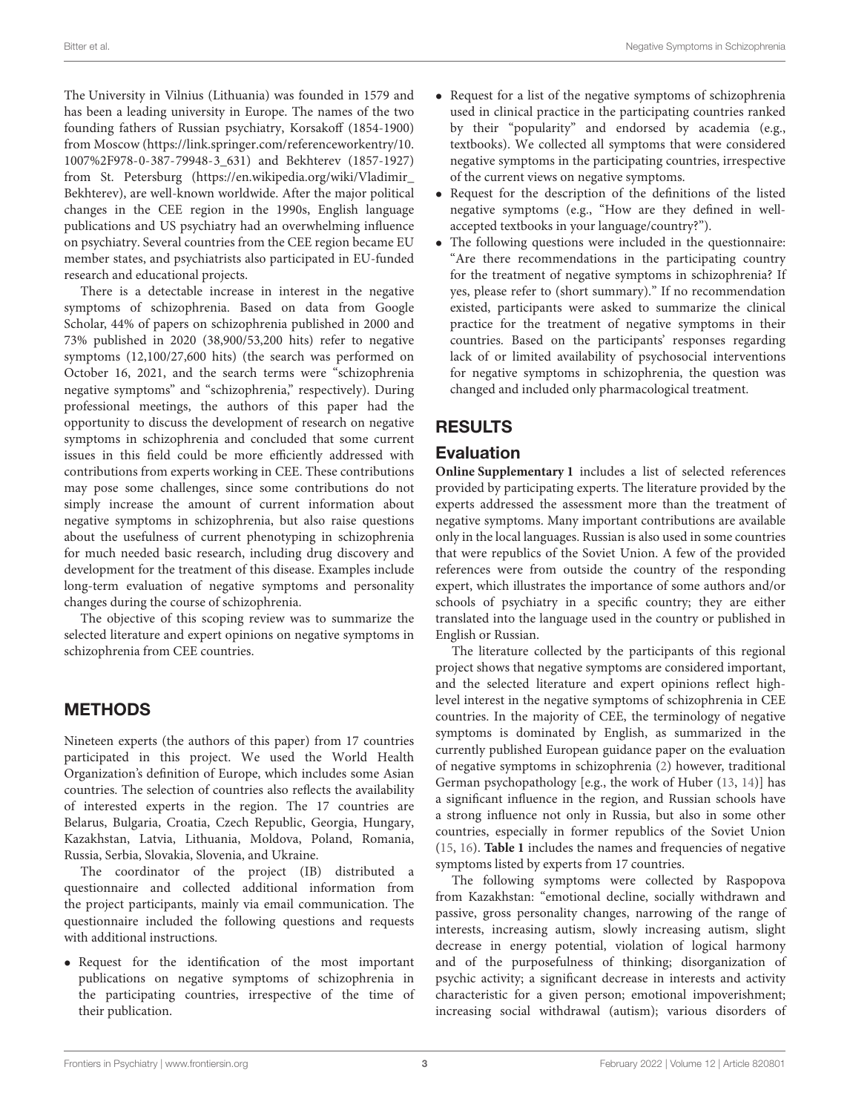The University in Vilnius (Lithuania) was founded in 1579 and has been a leading university in Europe. The names of the two founding fathers of Russian psychiatry, Korsakoff (1854-1900) from Moscow [\(https://link.springer.com/referenceworkentry/10.](https://link.springer.com/referenceworkentry/10.1007%2F978-0-387-79948-3_631) [1007%2F978-0-387-79948-3\\_631\)](https://link.springer.com/referenceworkentry/10.1007%2F978-0-387-79948-3_631) and Bekhterev (1857-1927) from St. Petersburg [\(https://en.wikipedia.org/wiki/Vladimir\\_](https://en.wikipedia.org/wiki/Vladimir_Bekhterev) [Bekhterev\)](https://en.wikipedia.org/wiki/Vladimir_Bekhterev), are well-known worldwide. After the major political changes in the CEE region in the 1990s, English language publications and US psychiatry had an overwhelming influence on psychiatry. Several countries from the CEE region became EU member states, and psychiatrists also participated in EU-funded research and educational projects.

There is a detectable increase in interest in the negative symptoms of schizophrenia. Based on data from Google Scholar, 44% of papers on schizophrenia published in 2000 and 73% published in 2020 (38,900/53,200 hits) refer to negative symptoms (12,100/27,600 hits) (the search was performed on October 16, 2021, and the search terms were "schizophrenia negative symptoms" and "schizophrenia," respectively). During professional meetings, the authors of this paper had the opportunity to discuss the development of research on negative symptoms in schizophrenia and concluded that some current issues in this field could be more efficiently addressed with contributions from experts working in CEE. These contributions may pose some challenges, since some contributions do not simply increase the amount of current information about negative symptoms in schizophrenia, but also raise questions about the usefulness of current phenotyping in schizophrenia for much needed basic research, including drug discovery and development for the treatment of this disease. Examples include long-term evaluation of negative symptoms and personality changes during the course of schizophrenia.

The objective of this scoping review was to summarize the selected literature and expert opinions on negative symptoms in schizophrenia from CEE countries.

### METHODS

Nineteen experts (the authors of this paper) from 17 countries participated in this project. We used the World Health Organization's definition of Europe, which includes some Asian countries. The selection of countries also reflects the availability of interested experts in the region. The 17 countries are Belarus, Bulgaria, Croatia, Czech Republic, Georgia, Hungary, Kazakhstan, Latvia, Lithuania, Moldova, Poland, Romania, Russia, Serbia, Slovakia, Slovenia, and Ukraine.

The coordinator of the project (IB) distributed a questionnaire and collected additional information from the project participants, mainly via email communication. The questionnaire included the following questions and requests with additional instructions.

• Request for the identification of the most important publications on negative symptoms of schizophrenia in the participating countries, irrespective of the time of their publication.

- Request for a list of the negative symptoms of schizophrenia used in clinical practice in the participating countries ranked by their "popularity" and endorsed by academia (e.g., textbooks). We collected all symptoms that were considered negative symptoms in the participating countries, irrespective of the current views on negative symptoms.
- Request for the description of the definitions of the listed negative symptoms (e.g., "How are they defined in wellaccepted textbooks in your language/country?").
- The following questions were included in the questionnaire: "Are there recommendations in the participating country for the treatment of negative symptoms in schizophrenia? If yes, please refer to (short summary)." If no recommendation existed, participants were asked to summarize the clinical practice for the treatment of negative symptoms in their countries. Based on the participants' responses regarding lack of or limited availability of psychosocial interventions for negative symptoms in schizophrenia, the question was changed and included only pharmacological treatment.

# RESULTS

### Evaluation

**[Online Supplementary 1](#page-5-0)** includes a list of selected references provided by participating experts. The literature provided by the experts addressed the assessment more than the treatment of negative symptoms. Many important contributions are available only in the local languages. Russian is also used in some countries that were republics of the Soviet Union. A few of the provided references were from outside the country of the responding expert, which illustrates the importance of some authors and/or schools of psychiatry in a specific country; they are either translated into the language used in the country or published in English or Russian.

The literature collected by the participants of this regional project shows that negative symptoms are considered important, and the selected literature and expert opinions reflect highlevel interest in the negative symptoms of schizophrenia in CEE countries. In the majority of CEE, the terminology of negative symptoms is dominated by English, as summarized in the currently published European guidance paper on the evaluation of negative symptoms in schizophrenia [\(2\)](#page-6-1) however, traditional German psychopathology [e.g., the work of Huber [\(13,](#page-6-11) [14\)](#page-6-12)] has a significant influence in the region, and Russian schools have a strong influence not only in Russia, but also in some other countries, especially in former republics of the Soviet Union [\(15,](#page-6-13) [16\)](#page-6-14). **[Table 1](#page-3-0)** includes the names and frequencies of negative symptoms listed by experts from 17 countries.

The following symptoms were collected by Raspopova from Kazakhstan: "emotional decline, socially withdrawn and passive, gross personality changes, narrowing of the range of interests, increasing autism, slowly increasing autism, slight decrease in energy potential, violation of logical harmony and of the purposefulness of thinking; disorganization of psychic activity; a significant decrease in interests and activity characteristic for a given person; emotional impoverishment; increasing social withdrawal (autism); various disorders of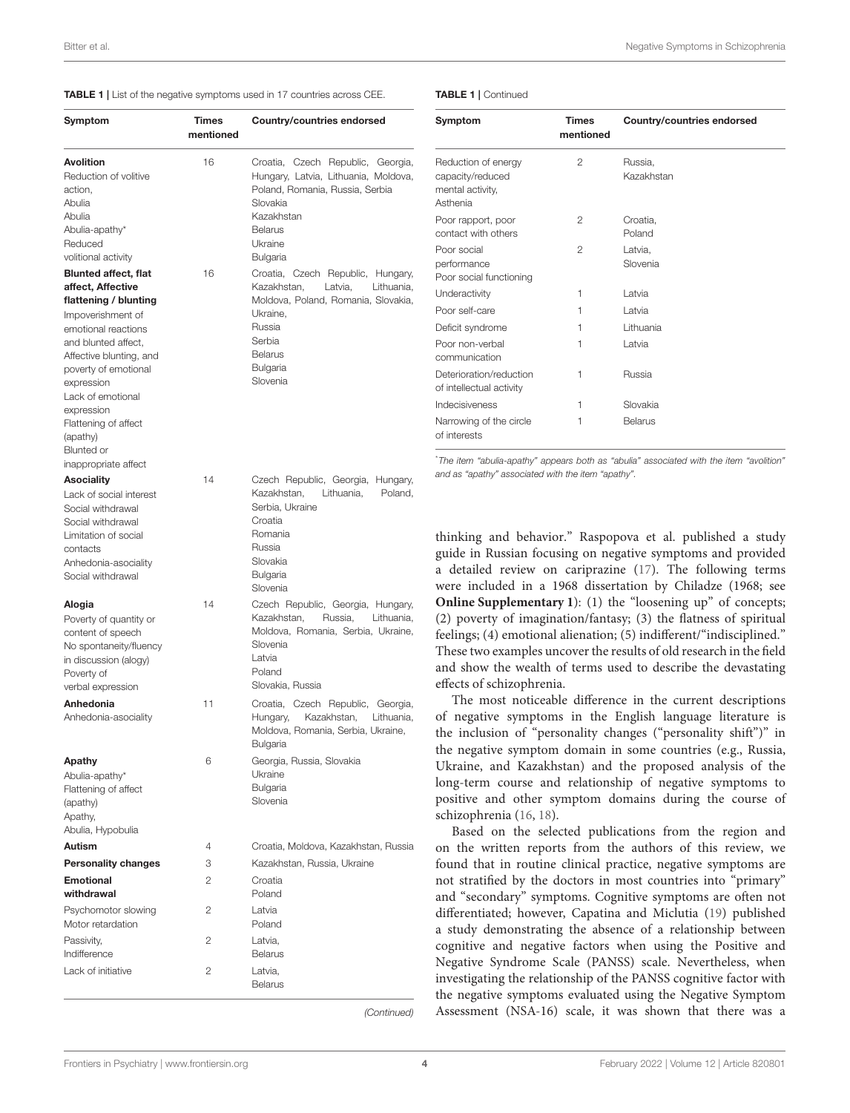#### <span id="page-3-0"></span>TABLE 1 | List of the negative symptoms used in 17 countries across CEE.

#### TABLE 1 | Continued

| Symptom                                                                                                                                            | Times<br>mentioned | Country/countries endorsed                                                                                                                                          | Symptom                                                                                                                                                                                                                                                                                                                                                                        | Times<br>mentioned | Country/countries endorsed                                                                                                     |
|----------------------------------------------------------------------------------------------------------------------------------------------------|--------------------|---------------------------------------------------------------------------------------------------------------------------------------------------------------------|--------------------------------------------------------------------------------------------------------------------------------------------------------------------------------------------------------------------------------------------------------------------------------------------------------------------------------------------------------------------------------|--------------------|--------------------------------------------------------------------------------------------------------------------------------|
| <b>Avolition</b><br>Reduction of volitive<br>action,<br>Abulia                                                                                     | 16                 | Croatia, Czech Republic, Georgia,<br>Hungary, Latvia, Lithuania, Moldova,<br>Poland, Romania, Russia, Serbia<br>Slovakia                                            | Reduction of energy<br>capacity/reduced<br>mental activity,<br>Asthenia                                                                                                                                                                                                                                                                                                        | $\mathbf{2}$       | Russia,<br>Kazakhstan                                                                                                          |
| Abulia<br>Abulia-apathy*                                                                                                                           |                    | Kazakhstan<br><b>Belarus</b>                                                                                                                                        | Poor rapport, poor<br>contact with others                                                                                                                                                                                                                                                                                                                                      | 2                  | Croatia,<br>Poland                                                                                                             |
| Reduced                                                                                                                                            |                    | Ukraine                                                                                                                                                             | Poor social                                                                                                                                                                                                                                                                                                                                                                    | 2                  | Latvia,                                                                                                                        |
| volitional activity                                                                                                                                |                    | Bulgaria                                                                                                                                                            | performance                                                                                                                                                                                                                                                                                                                                                                    |                    | Slovenia                                                                                                                       |
| <b>Blunted affect, flat</b><br>affect, Affective                                                                                                   | 16                 | Croatia, Czech Republic, Hungary,<br>Kazakhstan,<br>Latvia,<br>Lithuania,                                                                                           | Poor social functioning                                                                                                                                                                                                                                                                                                                                                        |                    |                                                                                                                                |
| flattening / blunting                                                                                                                              |                    | Moldova, Poland, Romania, Slovakia,                                                                                                                                 | Underactivity                                                                                                                                                                                                                                                                                                                                                                  | 1                  | Latvia                                                                                                                         |
| Impoverishment of                                                                                                                                  |                    | Ukraine,                                                                                                                                                            | Poor self-care                                                                                                                                                                                                                                                                                                                                                                 | 1                  | Latvia                                                                                                                         |
| emotional reactions                                                                                                                                |                    | Russia                                                                                                                                                              | Deficit syndrome                                                                                                                                                                                                                                                                                                                                                               | 1                  | Lithuania                                                                                                                      |
| and blunted affect,<br>Affective blunting, and                                                                                                     |                    | Serbia<br><b>Belarus</b>                                                                                                                                            | Poor non-verbal<br>communication                                                                                                                                                                                                                                                                                                                                               | 1                  | Latvia                                                                                                                         |
| poverty of emotional<br>expression                                                                                                                 |                    | Bulgaria<br>Slovenia                                                                                                                                                | Deterioration/reduction<br>of intellectual activity                                                                                                                                                                                                                                                                                                                            | 1                  | Russia                                                                                                                         |
| Lack of emotional<br>expression                                                                                                                    |                    |                                                                                                                                                                     | Indecisiveness                                                                                                                                                                                                                                                                                                                                                                 | 1                  | Slovakia                                                                                                                       |
| Flattening of affect<br>(apathy)<br>Blunted or                                                                                                     |                    |                                                                                                                                                                     | Narrowing of the circle<br>of interests                                                                                                                                                                                                                                                                                                                                        | 1                  | <b>Belarus</b>                                                                                                                 |
| inappropriate affect                                                                                                                               |                    |                                                                                                                                                                     |                                                                                                                                                                                                                                                                                                                                                                                |                    | "The item "abulia-apathy" appears both as "abulia" associated with the item "avolition"                                        |
| <b>Asociality</b>                                                                                                                                  | 14                 | Czech Republic, Georgia, Hungary,                                                                                                                                   | and as "apathy" associated with the item "apathy".                                                                                                                                                                                                                                                                                                                             |                    |                                                                                                                                |
| Lack of social interest<br>Social withdrawal<br>Social withdrawal<br>Limitation of social<br>contacts<br>Anhedonia-asociality<br>Social withdrawal |                    | Kazakhstan,<br>Lithuania,<br>Poland,<br>Serbia, Ukraine<br>Croatia<br>Romania<br>Russia<br>Slovakia<br>Bulgaria                                                     | thinking and behavior." Raspopova et al. published a study<br>guide in Russian focusing on negative symptoms and provided<br>a detailed review on cariprazine (17). The following terms<br>were included in a 1968 dissertation by Chiladze (1968; see                                                                                                                         |                    |                                                                                                                                |
|                                                                                                                                                    |                    | Slovenia                                                                                                                                                            |                                                                                                                                                                                                                                                                                                                                                                                |                    |                                                                                                                                |
| Alogia<br>Poverty of quantity or<br>content of speech<br>No spontaneity/fluency<br>in discussion (alogy)<br>Poverty of<br>verbal expression        | 14                 | Czech Republic, Georgia, Hungary,<br>Russia,<br>Lithuania,<br>Kazakhstan,<br>Moldova, Romania, Serbia, Ukraine,<br>Slovenia<br>Latvia<br>Poland<br>Slovakia, Russia | Online Supplementary 1): (1) the "loosening up" of concepts;<br>(2) poverty of imagination/fantasy; (3) the flatness of spiritual<br>feelings; (4) emotional alienation; (5) indifferent/"indisciplined."<br>These two examples uncover the results of old research in the field<br>and show the wealth of terms used to describe the devastating<br>effects of schizophrenia. |                    |                                                                                                                                |
| Anhedonia<br>Anhedonia-asociality                                                                                                                  | 11                 | Croatia, Czech Republic,<br>Georgia,<br>Hungary,<br>Kazakhstan,<br>Lithuania,<br>Moldova, Romania, Serbia, Ukraine,<br><b>Bulgaria</b>                              | The most noticeable difference in the current descriptions<br>of negative symptoms in the English language literature is<br>the inclusion of "personality changes ("personality shift")" in                                                                                                                                                                                    |                    |                                                                                                                                |
| Apathy<br>Abulia-apathy*<br>Flattening of affect<br>(apathy)<br>Apathy,<br>Abulia, Hypobulia                                                       | 6                  | Georgia, Russia, Slovakia<br>Ukraine<br>Bulgaria<br>Slovenia                                                                                                        | the negative symptom domain in some countries (e.g., Russia,<br>Ukraine, and Kazakhstan) and the proposed analysis of the<br>long-term course and relationship of negative symptoms to<br>positive and other symptom domains during the course of<br>schizophrenia (16, 18).<br>Based on the selected publications from the region and                                         |                    |                                                                                                                                |
| <b>Autism</b>                                                                                                                                      | 4                  | Croatia, Moldova, Kazakhstan, Russia                                                                                                                                |                                                                                                                                                                                                                                                                                                                                                                                |                    | on the written reports from the authors of this review, we                                                                     |
| <b>Personality changes</b>                                                                                                                         | 3                  | Kazakhstan, Russia, Ukraine                                                                                                                                         |                                                                                                                                                                                                                                                                                                                                                                                |                    | found that in routine clinical practice, negative symptoms are                                                                 |
| Emotional<br>withdrawal                                                                                                                            | 2                  | Croatia<br>Poland                                                                                                                                                   |                                                                                                                                                                                                                                                                                                                                                                                |                    | not stratified by the doctors in most countries into "primary"<br>and "secondary" symptoms. Cognitive symptoms are often not   |
| Psychomotor slowing<br>Motor retardation                                                                                                           | 2                  | Latvia<br>Poland                                                                                                                                                    |                                                                                                                                                                                                                                                                                                                                                                                |                    | differentiated; however, Capatina and Miclutia (19) published<br>a study demonstrating the absence of a relationship between   |
| Passivity,<br>Indifference                                                                                                                         | 2                  | Latvia,<br>Belarus                                                                                                                                                  |                                                                                                                                                                                                                                                                                                                                                                                |                    | cognitive and negative factors when using the Positive and                                                                     |
| Lack of initiative                                                                                                                                 | 2                  | Latvia,<br><b>Belarus</b>                                                                                                                                           |                                                                                                                                                                                                                                                                                                                                                                                |                    | Negative Syndrome Scale (PANSS) scale. Nevertheless, when<br>investigating the relationship of the PANSS cognitive factor with |

(Continued)

[Frontiers in Psychiatry](https://www.frontiersin.org/journals/psychiatry)| [www.frontiersin.org](https://www.frontiersin.org) 4 [February 2022 | Volume 12 | Article 820801](https://www.frontiersin.org/journals/psychiatry#articles)

the negative symptoms evaluated using the Negative Symptom Assessment (NSA-16) scale, it was shown that there was a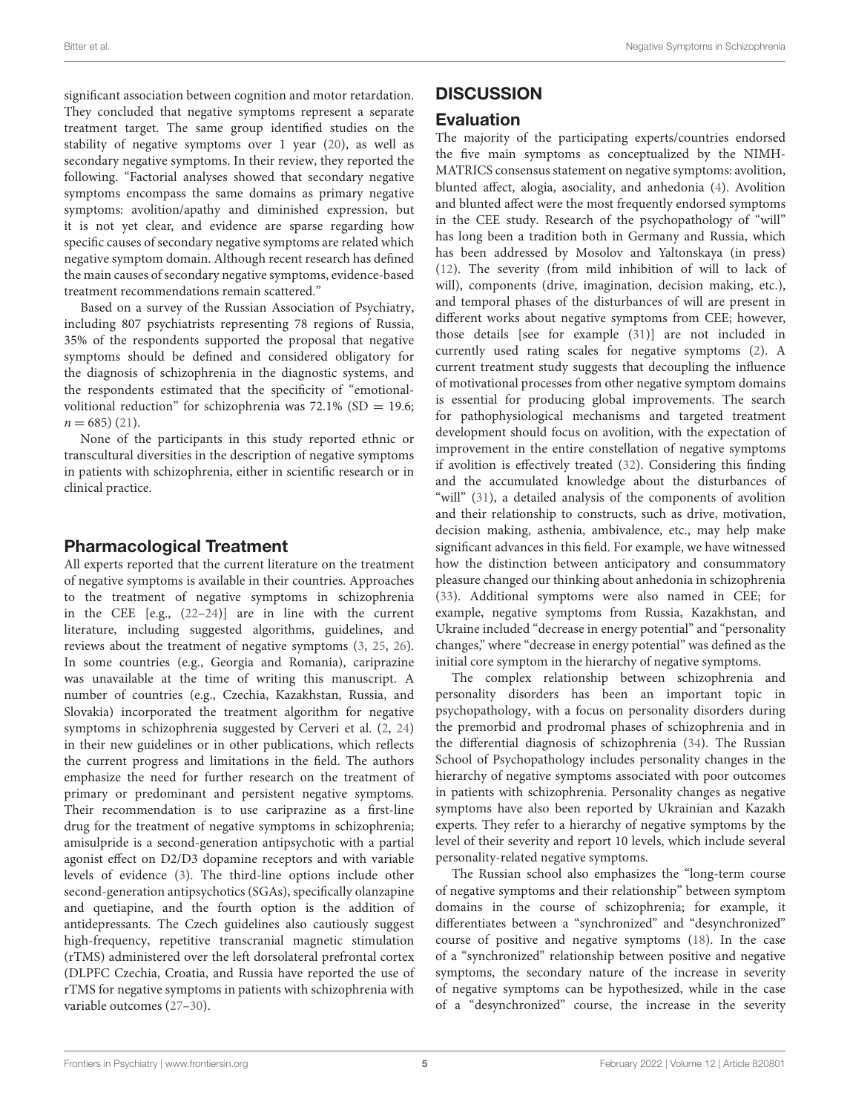significant association between cognition and motor retardation. They concluded that negative symptoms represent a separate treatment target. The same group identified studies on the stability of negative symptoms over 1 year [\(20\)](#page-6-18), as well as secondary negative symptoms. In their review, they reported the following. "Factorial analyses showed that secondary negative symptoms encompass the same domains as primary negative symptoms: avolition/apathy and diminished expression, but it is not yet clear, and evidence are sparse regarding how specific causes of secondary negative symptoms are related which negative symptom domain. Although recent research has defined the main causes of secondary negative symptoms, evidence-based treatment recommendations remain scattered."

Based on a survey of the Russian Association of Psychiatry, including 807 psychiatrists representing 78 regions of Russia, 35% of the respondents supported the proposal that negative symptoms should be defined and considered obligatory for the diagnosis of schizophrenia in the diagnostic systems, and the respondents estimated that the specificity of "emotionalvolitional reduction" for schizophrenia was  $72.1\%$  (SD = 19.6;  $n = 685$  [\(21\)](#page-6-19).

None of the participants in this study reported ethnic or transcultural diversities in the description of negative symptoms in patients with schizophrenia, either in scientific research or in clinical practice.

### Pharmacological Treatment

All experts reported that the current literature on the treatment of negative symptoms is available in their countries. Approaches to the treatment of negative symptoms in schizophrenia in the CEE [e.g., [\(22–](#page-6-20)[24\)](#page-6-21)] are in line with the current literature, including suggested algorithms, guidelines, and reviews about the treatment of negative symptoms [\(3,](#page-6-22) [25,](#page-6-23) [26\)](#page-6-24). In some countries (e.g., Georgia and Romania), cariprazine was unavailable at the time of writing this manuscript. A number of countries (e.g., Czechia, Kazakhstan, Russia, and Slovakia) incorporated the treatment algorithm for negative symptoms in schizophrenia suggested by Cerveri et al. [\(2,](#page-6-1) [24\)](#page-6-21) in their new guidelines or in other publications, which reflects the current progress and limitations in the field. The authors emphasize the need for further research on the treatment of primary or predominant and persistent negative symptoms. Their recommendation is to use cariprazine as a first-line drug for the treatment of negative symptoms in schizophrenia; amisulpride is a second-generation antipsychotic with a partial agonist effect on D2/D3 dopamine receptors and with variable levels of evidence [\(3\)](#page-6-22). The third-line options include other second-generation antipsychotics (SGAs), specifically olanzapine and quetiapine, and the fourth option is the addition of antidepressants. The Czech guidelines also cautiously suggest high-frequency, repetitive transcranial magnetic stimulation (rTMS) administered over the left dorsolateral prefrontal cortex (DLPFC Czechia, Croatia, and Russia have reported the use of rTMS for negative symptoms in patients with schizophrenia with variable outcomes [\(27](#page-6-25)[–30\)](#page-6-26).

### **DISCUSSION**

### Evaluation

The majority of the participating experts/countries endorsed the five main symptoms as conceptualized by the NIMH-MATRICS consensus statement on negative symptoms: avolition, blunted affect, alogia, asociality, and anhedonia [\(4\)](#page-6-2). Avolition and blunted affect were the most frequently endorsed symptoms in the CEE study. Research of the psychopathology of "will" has long been a tradition both in Germany and Russia, which has been addressed by Mosolov and Yaltonskaya (in press) [\(12\)](#page-6-10). The severity (from mild inhibition of will to lack of will), components (drive, imagination, decision making, etc.), and temporal phases of the disturbances of will are present in different works about negative symptoms from CEE; however, those details [see for example [\(31\)](#page-6-27)] are not included in currently used rating scales for negative symptoms [\(2\)](#page-6-1). A current treatment study suggests that decoupling the influence of motivational processes from other negative symptom domains is essential for producing global improvements. The search for pathophysiological mechanisms and targeted treatment development should focus on avolition, with the expectation of improvement in the entire constellation of negative symptoms if avolition is effectively treated [\(32\)](#page-6-28). Considering this finding and the accumulated knowledge about the disturbances of "will" [\(31\)](#page-6-27), a detailed analysis of the components of avolition and their relationship to constructs, such as drive, motivation, decision making, asthenia, ambivalence, etc., may help make significant advances in this field. For example, we have witnessed how the distinction between anticipatory and consummatory pleasure changed our thinking about anhedonia in schizophrenia [\(33\)](#page-6-29). Additional symptoms were also named in CEE; for example, negative symptoms from Russia, Kazakhstan, and Ukraine included "decrease in energy potential" and "personality changes," where "decrease in energy potential" was defined as the initial core symptom in the hierarchy of negative symptoms.

The complex relationship between schizophrenia and personality disorders has been an important topic in psychopathology, with a focus on personality disorders during the premorbid and prodromal phases of schizophrenia and in the differential diagnosis of schizophrenia [\(34\)](#page-6-30). The Russian School of Psychopathology includes personality changes in the hierarchy of negative symptoms associated with poor outcomes in patients with schizophrenia. Personality changes as negative symptoms have also been reported by Ukrainian and Kazakh experts. They refer to a hierarchy of negative symptoms by the level of their severity and report 10 levels, which include several personality-related negative symptoms.

The Russian school also emphasizes the "long-term course of negative symptoms and their relationship" between symptom domains in the course of schizophrenia; for example, it differentiates between a "synchronized" and "desynchronized" course of positive and negative symptoms [\(18\)](#page-6-16). In the case of a "synchronized" relationship between positive and negative symptoms, the secondary nature of the increase in severity of negative symptoms can be hypothesized, while in the case of a "desynchronized" course, the increase in the severity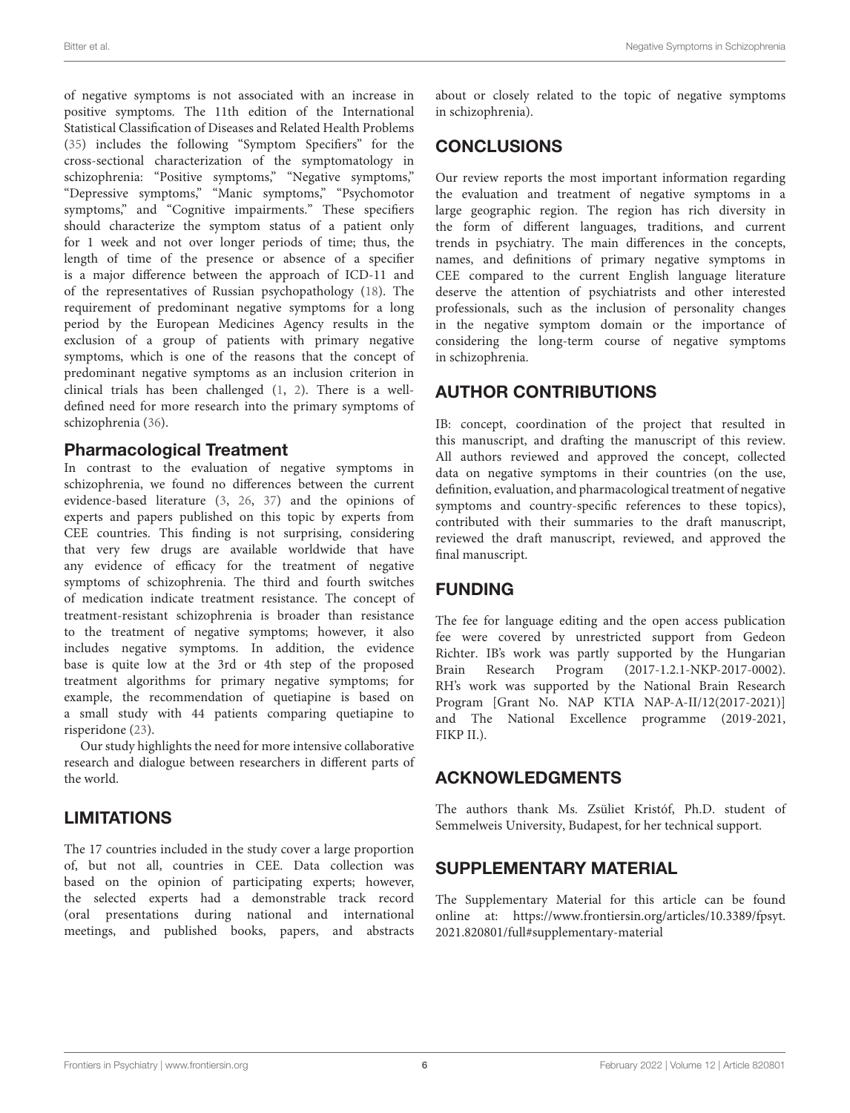of negative symptoms is not associated with an increase in positive symptoms. The 11th edition of the International Statistical Classification of Diseases and Related Health Problems [\(35\)](#page-6-31) includes the following "Symptom Specifiers" for the cross-sectional characterization of the symptomatology in schizophrenia: "Positive symptoms," "Negative symptoms," "Depressive symptoms," "Manic symptoms," "Psychomotor symptoms," and "Cognitive impairments." These specifiers should characterize the symptom status of a patient only for 1 week and not over longer periods of time; thus, the length of time of the presence or absence of a specifier is a major difference between the approach of ICD-11 and of the representatives of Russian psychopathology [\(18\)](#page-6-16). The requirement of predominant negative symptoms for a long period by the European Medicines Agency results in the exclusion of a group of patients with primary negative symptoms, which is one of the reasons that the concept of predominant negative symptoms as an inclusion criterion in clinical trials has been challenged [\(1,](#page-6-0) [2\)](#page-6-1). There is a welldefined need for more research into the primary symptoms of schizophrenia [\(36\)](#page-6-32).

### Pharmacological Treatment

In contrast to the evaluation of negative symptoms in schizophrenia, we found no differences between the current evidence-based literature [\(3,](#page-6-22) [26,](#page-6-24) [37\)](#page-6-33) and the opinions of experts and papers published on this topic by experts from CEE countries. This finding is not surprising, considering that very few drugs are available worldwide that have any evidence of efficacy for the treatment of negative symptoms of schizophrenia. The third and fourth switches of medication indicate treatment resistance. The concept of treatment-resistant schizophrenia is broader than resistance to the treatment of negative symptoms; however, it also includes negative symptoms. In addition, the evidence base is quite low at the 3rd or 4th step of the proposed treatment algorithms for primary negative symptoms; for example, the recommendation of quetiapine is based on a small study with 44 patients comparing quetiapine to risperidone [\(23\)](#page-6-34).

Our study highlights the need for more intensive collaborative research and dialogue between researchers in different parts of the world.

### LIMITATIONS

The 17 countries included in the study cover a large proportion of, but not all, countries in CEE. Data collection was based on the opinion of participating experts; however, the selected experts had a demonstrable track record (oral presentations during national and international meetings, and published books, papers, and abstracts about or closely related to the topic of negative symptoms in schizophrenia).

### **CONCLUSIONS**

Our review reports the most important information regarding the evaluation and treatment of negative symptoms in a large geographic region. The region has rich diversity in the form of different languages, traditions, and current trends in psychiatry. The main differences in the concepts, names, and definitions of primary negative symptoms in CEE compared to the current English language literature deserve the attention of psychiatrists and other interested professionals, such as the inclusion of personality changes in the negative symptom domain or the importance of considering the long-term course of negative symptoms in schizophrenia.

### AUTHOR CONTRIBUTIONS

IB: concept, coordination of the project that resulted in this manuscript, and drafting the manuscript of this review. All authors reviewed and approved the concept, collected data on negative symptoms in their countries (on the use, definition, evaluation, and pharmacological treatment of negative symptoms and country-specific references to these topics), contributed with their summaries to the draft manuscript, reviewed the draft manuscript, reviewed, and approved the final manuscript.

### FUNDING

The fee for language editing and the open access publication fee were covered by unrestricted support from Gedeon Richter. IB's work was partly supported by the Hungarian Brain Research Program (2017-1.2.1-NKP-2017-0002). RH's work was supported by the National Brain Research Program [Grant No. NAP KTIA NAP-A-II/12(2017-2021)] and The National Excellence programme (2019-2021, FIKP II.).

### ACKNOWLEDGMENTS

The authors thank Ms. Zsüliet Kristóf, Ph.D. student of Semmelweis University, Budapest, for her technical support.

### SUPPLEMENTARY MATERIAL

<span id="page-5-0"></span>The Supplementary Material for this article can be found [online at: https://www.frontiersin.org/articles/10.3389/fpsyt.](https://www.frontiersin.org/articles/10.3389/fpsyt.2021.820801/full#supplementary-material) 2021.820801/full#supplementary-material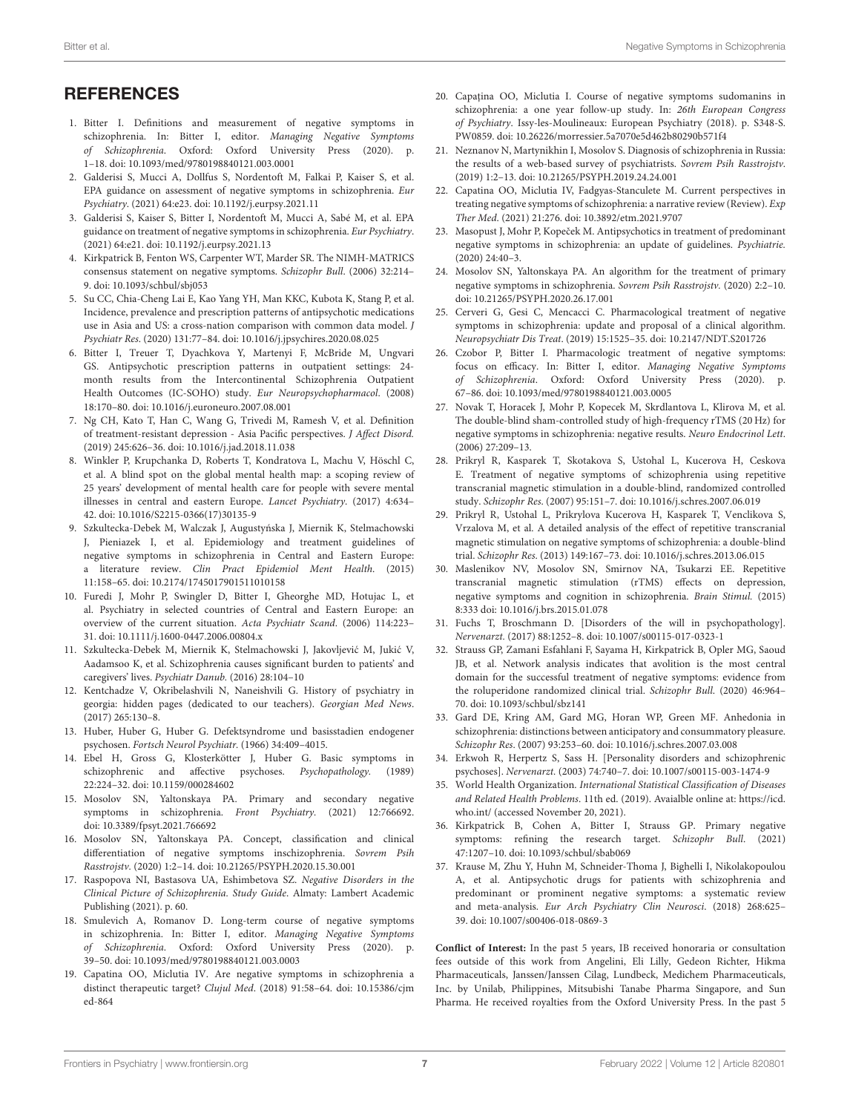## **REFERENCES**

- <span id="page-6-0"></span>1. Bitter I. Definitions and measurement of negative symptoms in schizophrenia. In: Bitter I, editor. Managing Negative Symptoms of Schizophrenia. Oxford: Oxford University Press (2020). p. 1–18. doi: [10.1093/med/9780198840121.003.0001](https://doi.org/10.1093/med/9780198840121.003.0001)
- <span id="page-6-1"></span>2. Galderisi S, Mucci A, Dollfus S, Nordentoft M, Falkai P, Kaiser S, et al. EPA guidance on assessment of negative symptoms in schizophrenia. Eur Psychiatry. (2021) 64:e23. doi: [10.1192/j.eurpsy.2021.11](https://doi.org/10.1192/j.eurpsy.2021.11)
- <span id="page-6-22"></span>3. Galderisi S, Kaiser S, Bitter I, Nordentoft M, Mucci A, Sabé M, et al. EPA guidance on treatment of negative symptoms in schizophrenia. Eur Psychiatry. (2021) 64:e21. doi: [10.1192/j.eurpsy.2021.13](https://doi.org/10.1192/j.eurpsy.2021.13)
- <span id="page-6-2"></span>4. Kirkpatrick B, Fenton WS, Carpenter WT, Marder SR. The NIMH-MATRICS consensus statement on negative symptoms. Schizophr Bull. (2006) 32:214– 9. doi: [10.1093/schbul/sbj053](https://doi.org/10.1093/schbul/sbj053)
- <span id="page-6-3"></span>5. Su CC, Chia-Cheng Lai E, Kao Yang YH, Man KKC, Kubota K, Stang P, et al. Incidence, prevalence and prescription patterns of antipsychotic medications use in Asia and US: a cross-nation comparison with common data model. J Psychiatr Res. (2020) 131:77–84. doi: [10.1016/j.jpsychires.2020.08.025](https://doi.org/10.1016/j.jpsychires.2020.08.025)
- <span id="page-6-4"></span>6. Bitter I, Treuer T, Dyachkova Y, Martenyi F, McBride M, Ungvari GS. Antipsychotic prescription patterns in outpatient settings: 24 month results from the Intercontinental Schizophrenia Outpatient Health Outcomes (IC-SOHO) study. Eur Neuropsychopharmacol. (2008) 18:170–80. doi: [10.1016/j.euroneuro.2007.08.001](https://doi.org/10.1016/j.euroneuro.2007.08.001)
- <span id="page-6-5"></span>7. Ng CH, Kato T, Han C, Wang G, Trivedi M, Ramesh V, et al. Definition of treatment-resistant depression - Asia Pacific perspectives. J Affect Disord. (2019) 245:626–36. doi: [10.1016/j.jad.2018.11.038](https://doi.org/10.1016/j.jad.2018.11.038)
- <span id="page-6-6"></span>8. Winkler P, Krupchanka D, Roberts T, Kondratova L, Machu V, Höschl C, et al. A blind spot on the global mental health map: a scoping review of 25 years' development of mental health care for people with severe mental illnesses in central and eastern Europe. Lancet Psychiatry. (2017) 4:634– 42. doi: [10.1016/S2215-0366\(17\)30135-9](https://doi.org/10.1016/S2215-0366(17)30135-9)
- <span id="page-6-7"></span>9. Szkultecka-Debek M, Walczak J, Augustyńska J, Miernik K, Stelmachowski J, Pieniazek I, et al. Epidemiology and treatment guidelines of negative symptoms in schizophrenia in Central and Eastern Europe: a literature review. Clin Pract Epidemiol Ment Health. (2015) 11:158–65. doi: [10.2174/1745017901511010158](https://doi.org/10.2174/1745017901511010158)
- <span id="page-6-8"></span>10. Furedi J, Mohr P, Swingler D, Bitter I, Gheorghe MD, Hotujac L, et al. Psychiatry in selected countries of Central and Eastern Europe: an overview of the current situation. Acta Psychiatr Scand. (2006) 114:223– 31. doi: [10.1111/j.1600-0447.2006.00804.x](https://doi.org/10.1111/j.1600-0447.2006.00804.x)
- <span id="page-6-9"></span>11. Szkultecka-Debek M, Miernik K, Stelmachowski J, Jakovljević M, Jukić V, Aadamsoo K, et al. Schizophrenia causes significant burden to patients' and caregivers' lives. Psychiatr Danub. (2016) 28:104–10
- <span id="page-6-10"></span>12. Kentchadze V, Okribelashvili N, Naneishvili G. History of psychiatry in georgia: hidden pages (dedicated to our teachers). Georgian Med News. (2017) 265:130–8.
- <span id="page-6-11"></span>13. Huber, Huber G, Huber G. Defektsyndrome und basisstadien endogener psychosen. Fortsch Neurol Psychiatr. (1966) 34:409–4015.
- <span id="page-6-12"></span>14. Ebel H, Gross G, Klosterkötter J, Huber G. Basic symptoms in schizophrenic and affective psychoses. Psychopathology. (1989) 22:224–32. doi: [10.1159/000284602](https://doi.org/10.1159/000284602)
- <span id="page-6-13"></span>15. Mosolov SN, Yaltonskaya PA. Primary and secondary negative symptoms in schizophrenia. Front Psychiatry. (2021) 12:766692. doi: [10.3389/fpsyt.2021.766692](https://doi.org/10.3389/fpsyt.2021.766692)
- <span id="page-6-14"></span>16. Mosolov SN, Yaltonskaya PA. Concept, classification and clinical differentiation of negative symptoms inschizophrenia. Sovrem Psih Rasstrojstv. (2020) 1:2–14. doi: [10.21265/PSYPH.2020.15.30.001](https://doi.org/10.21265/PSYPH.2020.15.30.001)
- <span id="page-6-15"></span>17. Raspopova NI, Bastasova UA, Eshimbetova SZ. Negative Disorders in the Clinical Picture of Schizophrenia. Study Guide. Almaty: Lambert Academic Publishing (2021). p. 60.
- <span id="page-6-16"></span>18. Smulevich A, Romanov D. Long-term course of negative symptoms in schizophrenia. In: Bitter I, editor. Managing Negative Symptoms of Schizophrenia. Oxford: Oxford University Press (2020). p. 39–50. doi: [10.1093/med/9780198840121.003.0003](https://doi.org/10.1093/med/9780198840121.003.0003)
- <span id="page-6-17"></span>19. Capatina OO, Miclutia IV. Are negative symptoms in schizophrenia a distinct therapeutic target? Clujul Med[. \(2018\) 91:58–64. doi: 10.15386/cjm](https://doi.org/10.15386/cjmed-864) ed-864
- <span id="page-6-18"></span>20. Capațina OO, Miclutia I. Course of negative symptoms sudomanins in schizophrenia: a one year follow-up study. In: 26th European Congress of Psychiatry. Issy-les-Moulineaux: European Psychiatry (2018). p. S348-S. PW0859. doi: [10.26226/morressier.5a7070e5d462b80290b571f4](https://doi.org/10.26226/morressier.5a7070e5d462b80290b571f4)
- <span id="page-6-19"></span>21. Neznanov N, Martynikhin I, Mosolov S. Diagnosis of schizophrenia in Russia: the results of a web-based survey of psychiatrists. Sovrem Psih Rasstrojstv. (2019) 1:2–13. doi: [10.21265/PSYPH.2019.24.24.001](https://doi.org/10.21265/PSYPH.2019.24.24.001)
- <span id="page-6-20"></span>22. Capatina OO, Miclutia IV, Fadgyas-Stanculete M. Current perspectives in treating negative symptoms of schizophrenia: a narrative review (Review). Exp Ther Med. (2021) 21:276. doi: [10.3892/etm.2021.9707](https://doi.org/10.3892/etm.2021.9707)
- <span id="page-6-34"></span>23. Masopust J, Mohr P, Kopeček M. Antipsychotics in treatment of predominant negative symptoms in schizophrenia: an update of guidelines. Psychiatrie. (2020) 24:40–3.
- <span id="page-6-21"></span>24. Mosolov SN, Yaltonskaya PA. An algorithm for the treatment of primary negative symptoms in schizophrenia. Sovrem Psih Rasstrojstv. (2020) 2:2–10. doi: [10.21265/PSYPH.2020.26.17.001](https://doi.org/10.21265/PSYPH.2020.26.17.001)
- <span id="page-6-23"></span>25. Cerveri G, Gesi C, Mencacci C. Pharmacological treatment of negative symptoms in schizophrenia: update and proposal of a clinical algorithm. Neuropsychiatr Dis Treat. (2019) 15:1525–35. doi: [10.2147/NDT.S201726](https://doi.org/10.2147/NDT.S201726)
- <span id="page-6-24"></span>26. Czobor P, Bitter I. Pharmacologic treatment of negative symptoms: focus on efficacy. In: Bitter I, editor. Managing Negative Symptoms of Schizophrenia. Oxford: Oxford University Press (2020). p. 67–86. doi: [10.1093/med/9780198840121.003.0005](https://doi.org/10.1093/med/9780198840121.003.0005)
- <span id="page-6-25"></span>27. Novak T, Horacek J, Mohr P, Kopecek M, Skrdlantova L, Klirova M, et al. The double-blind sham-controlled study of high-frequency rTMS (20 Hz) for negative symptoms in schizophrenia: negative results. Neuro Endocrinol Lett. (2006) 27:209–13.
- 28. Prikryl R, Kasparek T, Skotakova S, Ustohal L, Kucerova H, Ceskova E. Treatment of negative symptoms of schizophrenia using repetitive transcranial magnetic stimulation in a double-blind, randomized controlled study. Schizophr Res. (2007) 95:151–7. doi: [10.1016/j.schres.2007.06.019](https://doi.org/10.1016/j.schres.2007.06.019)
- 29. Prikryl R, Ustohal L, Prikrylova Kucerova H, Kasparek T, Venclikova S, Vrzalova M, et al. A detailed analysis of the effect of repetitive transcranial magnetic stimulation on negative symptoms of schizophrenia: a double-blind trial. Schizophr Res. (2013) 149:167–73. doi: [10.1016/j.schres.2013.06.015](https://doi.org/10.1016/j.schres.2013.06.015)
- <span id="page-6-26"></span>30. Maslenikov NV, Mosolov SN, Smirnov NA, Tsukarzi EE. Repetitive transcranial magnetic stimulation (rTMS) effects on depression, negative symptoms and cognition in schizophrenia. Brain Stimul. (2015) 8:333 doi: [10.1016/j.brs.2015.01.078](https://doi.org/10.1016/j.brs.2015.01.078)
- <span id="page-6-27"></span>31. Fuchs T, Broschmann D. [Disorders of the will in psychopathology]. Nervenarzt. (2017) 88:1252–8. doi: [10.1007/s00115-017-0323-1](https://doi.org/10.1007/s00115-017-0323-1)
- <span id="page-6-28"></span>32. Strauss GP, Zamani Esfahlani F, Sayama H, Kirkpatrick B, Opler MG, Saoud JB, et al. Network analysis indicates that avolition is the most central domain for the successful treatment of negative symptoms: evidence from the roluperidone randomized clinical trial. Schizophr Bull. (2020) 46:964– 70. doi: [10.1093/schbul/sbz141](https://doi.org/10.1093/schbul/sbz141)
- <span id="page-6-29"></span>33. Gard DE, Kring AM, Gard MG, Horan WP, Green MF. Anhedonia in schizophrenia: distinctions between anticipatory and consummatory pleasure. Schizophr Res. (2007) 93:253–60. doi: [10.1016/j.schres.2007.03.008](https://doi.org/10.1016/j.schres.2007.03.008)
- <span id="page-6-30"></span>34. Erkwoh R, Herpertz S, Sass H. [Personality disorders and schizophrenic psychoses]. Nervenarzt. (2003) 74:740–7. doi: [10.1007/s00115-003-1474-9](https://doi.org/10.1007/s00115-003-1474-9)
- <span id="page-6-31"></span>35. World Health Organization. International Statistical Classification of Diseases and Related Health Problems. 11th ed. (2019). Avaialble online at: [https://icd.](https://icd.who.int/) [who.int/](https://icd.who.int/) (accessed November 20, 2021).
- <span id="page-6-32"></span>36. Kirkpatrick B, Cohen A, Bitter I, Strauss GP. Primary negative symptoms: refining the research target. Schizophr Bull. (2021) 47:1207–10. doi: [10.1093/schbul/sbab069](https://doi.org/10.1093/schbul/sbab069)
- <span id="page-6-33"></span>37. Krause M, Zhu Y, Huhn M, Schneider-Thoma J, Bighelli I, Nikolakopoulou A, et al. Antipsychotic drugs for patients with schizophrenia and predominant or prominent negative symptoms: a systematic review and meta-analysis. Eur Arch Psychiatry Clin Neurosci. (2018) 268:625– 39. doi: [10.1007/s00406-018-0869-3](https://doi.org/10.1007/s00406-018-0869-3)

**Conflict of Interest:** In the past 5 years, IB received honoraria or consultation fees outside of this work from Angelini, Eli Lilly, Gedeon Richter, Hikma Pharmaceuticals, Janssen/Janssen Cilag, Lundbeck, Medichem Pharmaceuticals, Inc. by Unilab, Philippines, Mitsubishi Tanabe Pharma Singapore, and Sun Pharma. He received royalties from the Oxford University Press. In the past 5